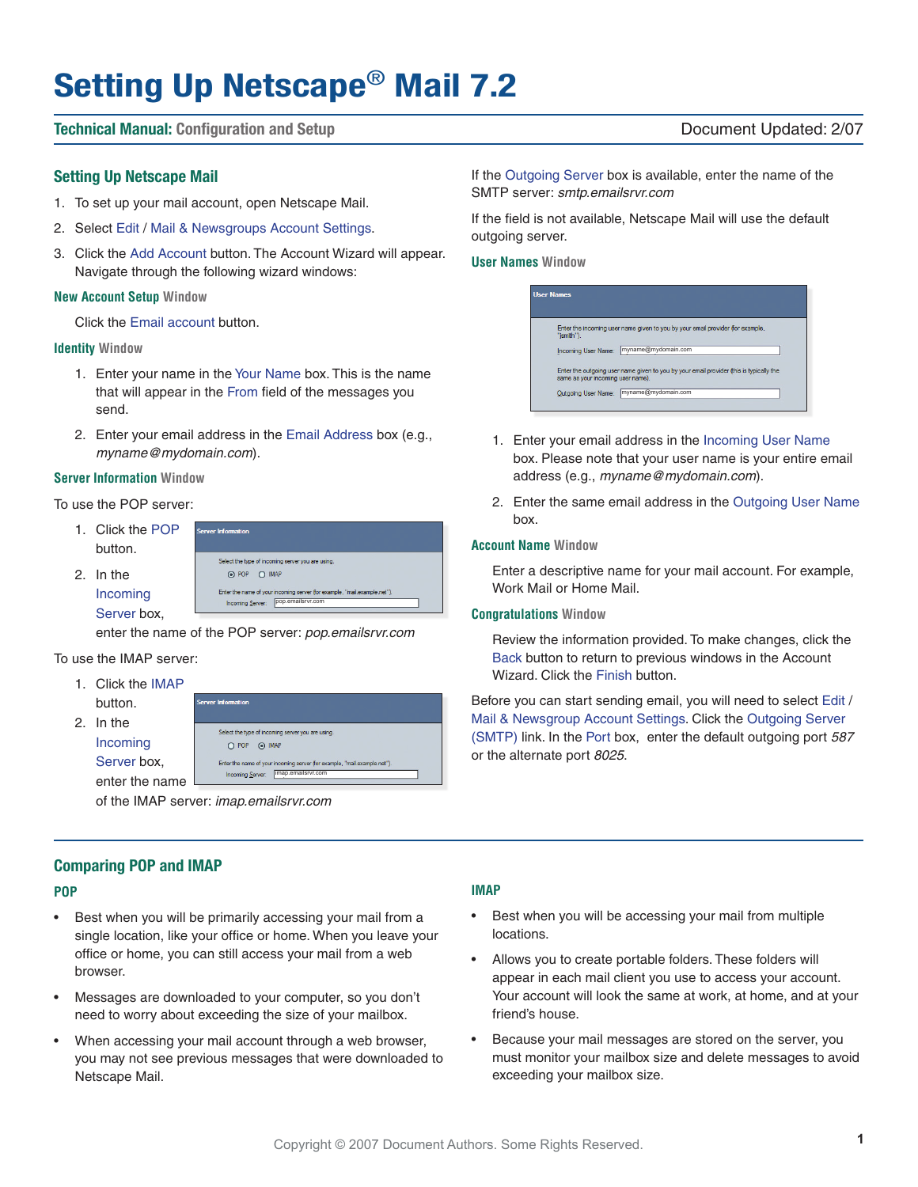# **Setting Up Netscape**® **Mail 7.2**

#### **Technical Manual: Configuration and Setup** Document Updated: 2/07

#### **Setting Up Netscape Mail**

- 1. To set up your mail account, open Netscape Mail.
- 2. Select Edit / Mail & Newsgroups Account Settings.
- 3. Click the Add Account button. The Account Wizard will appear. Navigate through the following wizard windows:

#### **New Account Setup Window**

Click the Email account button.

#### **Identity Window**

- 1. Enter your name in the Your Name box. This is the name that will appear in the From field of the messages you send.
- 2. Enter your email address in the Email Address box (e.g., myname@mydomain.com).

#### **Server Information Window**

To use the POP server:

1. Click the POP nuar Information button. Select the type of incoming server you are using 2. In the ⊙ POP ○ IMAP Enter the name of your incoming server (for exam Incoming Incoming Server: pop.emailsrvr.com Server box,

enter the name of the POP server: pop.emailsrvr.com

#### To use the IMAP server:

- 1. Click the IMAP button.
- 2. In the Incoming



of the IMAP server: imap.emailsrvr.com

#### **Comparing POP and IMAP**

#### **POP**

- Best when you will be primarily accessing your mail from a single location, like your office or home. When you leave your office or home, you can still access your mail from a web browser.
- Messages are downloaded to your computer, so you don't need to worry about exceeding the size of your mailbox.
- When accessing your mail account through a web browser, you may not see previous messages that were downloaded to Netscape Mail.

#### **IMAP**

- Best when you will be accessing your mail from multiple locations.
- Allows you to create portable folders. These folders will appear in each mail client you use to access your account. Your account will look the same at work, at home, and at your friend's house.
- Because your mail messages are stored on the server, you must monitor your mailbox size and delete messages to avoid exceeding your mailbox size.

#### If the Outgoing Server box is available, enter the name of the SMTP server: smtp.emailsrvr.com

If the field is not available, Netscape Mail will use the default outgoing server.

**User Names Window**

| <b>User Names</b>                 |                                                                                         |
|-----------------------------------|-----------------------------------------------------------------------------------------|
| "jsmith").                        | Enter the incoming user name given to you by your email provider (for example,          |
| Incoming User Name:               | myname@mydomain.com                                                                     |
| same as your incoming user name). | Enter the outgoing user name given to you by your email provider (this is typically the |
| Outgoing User Name:               | myname@mydomain.com                                                                     |

- 1. Enter your email address in the Incoming User Name box. Please note that your user name is your entire email address (e.g., myname@mydomain.com).
- 2. Enter the same email address in the Outgoing User Name box.

#### **Account Name Window**

Enter a descriptive name for your mail account. For example, Work Mail or Home Mail.

#### **Congratulations Window**

Review the information provided. To make changes, click the Back button to return to previous windows in the Account Wizard. Click the Finish button.

Before you can start sending email, you will need to select Edit / Mail & Newsgroup Account Settings. Click the Outgoing Server (SMTP) link. In the Port box, enter the default outgoing port 587 or the alternate port 8025.